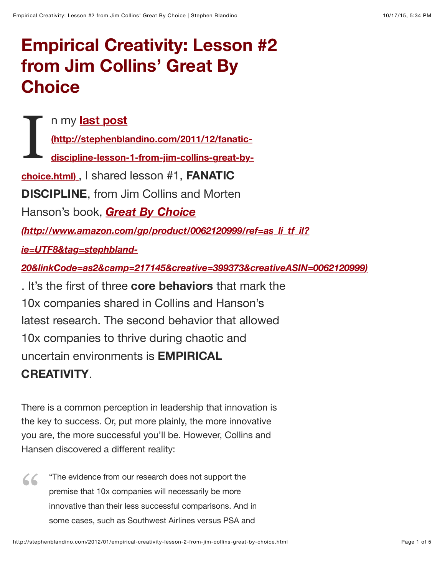## **Empirical Creativity: Lesson #2 from Jim Collins' Great By Choice**

I n my **last post (http://stephenblandino.com/2011/12/fanatic[discipline-lesson-1-from-jim-collins-great-by](http://stephenblandino.com/2011/12/fanatic-discipline-lesson-1-from-jim-collins-great-by-choice.html)choice.html)** , I shared lesson #1, **FANATIC DISCIPLINE**, from Jim Collins and Morten Hanson's book, *Great By Choice (http://www.amazon.com/gp/product/0062120999/ref=as\_li\_tf\_il? ie=UTF8&tag=stephbland-[20&linkCode=as2&camp=217145&creative=399373&creativeASIN=0062120999\)](http://www.amazon.com/gp/product/0062120999/ref=as_li_tf_il?ie=UTF8&tag=stephbland-20&linkCode=as2&camp=217145&creative=399373&creativeASIN=0062120999)* . It's the first of three **core behaviors** that mark the 10x companies shared in Collins and Hanson's latest research. The second behavior that allowed 10x companies to thrive during chaotic and uncertain environments is **EMPIRICAL CREATIVITY**.

There is a common perception in leadership that innovation is the key to success. Or, put more plainly, the more innovative you are, the more successful you'll be. However, Collins and Hansen discovered a different reality:

"The evidence from our research does not support the premise that 10x companies will necessarily be more innovative than their less successful comparisons. And in some cases, such as Southwest Airlines versus PSA and "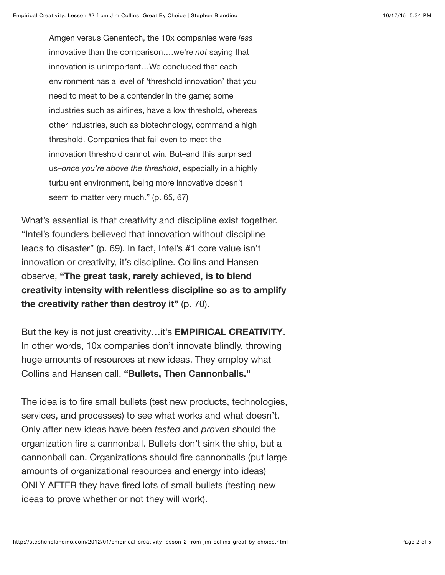Amgen versus Genentech, the 10x companies were *less* innovative than the comparison….we're *not* saying that innovation is unimportant…We concluded that each environment has a level of 'threshold innovation' that you need to meet to be a contender in the game; some industries such as airlines, have a low threshold, whereas other industries, such as biotechnology, command a high threshold. Companies that fail even to meet the innovation threshold cannot win. But–and this surprised us–*once you're above the threshold*, especially in a highly turbulent environment, being more innovative doesn't seem to matter very much." (p. 65, 67)

What's essential is that creativity and discipline exist together. "Intel's founders believed that innovation without discipline leads to disaster" (p. 69). In fact, Intel's #1 core value isn't innovation or creativity, it's discipline. Collins and Hansen observe, **"The great task, rarely achieved, is to blend creativity intensity with relentless discipline so as to amplify the creativity rather than destroy it"** (p. 70).

But the key is not just creativity…it's **EMPIRICAL CREATIVITY**. In other words, 10x companies don't innovate blindly, throwing huge amounts of resources at new ideas. They employ what Collins and Hansen call, **"Bullets, Then Cannonballs."**

The idea is to fire small bullets (test new products, technologies, services, and processes) to see what works and what doesn't. Only after new ideas have been *tested* and *proven* should the organization fire a cannonball. Bullets don't sink the ship, but a cannonball can. Organizations should fire cannonballs (put large amounts of organizational resources and energy into ideas) ONLY AFTER they have fired lots of small bullets (testing new ideas to prove whether or not they will work).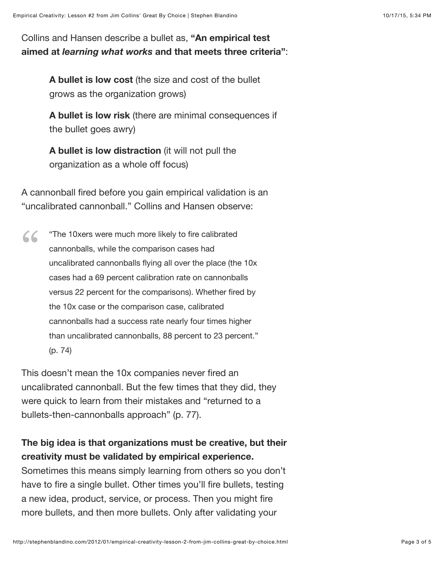Collins and Hansen describe a bullet as, **"An empirical test aimed at** *learning what works* **and that meets three criteria"**:

> **A bullet is low cost** (the size and cost of the bullet grows as the organization grows)

**A bullet is low risk** (there are minimal consequences if the bullet goes awry)

**A bullet is low distraction** (it will not pull the organization as a whole off focus)

A cannonball fired before you gain empirical validation is an "uncalibrated cannonball." Collins and Hansen observe:

"The 10xers were much more likely to fire calibrated cannonballs, while the comparison cases had uncalibrated cannonballs flying all over the place (the 10x cases had a 69 percent calibration rate on cannonballs versus 22 percent for the comparisons). Whether fired by the 10x case or the comparison case, calibrated cannonballs had a success rate nearly four times higher than uncalibrated cannonballs, 88 percent to 23 percent." (p. 74)  $66$ 

This doesn't mean the 10x companies never fired an uncalibrated cannonball. But the few times that they did, they were quick to learn from their mistakes and "returned to a bullets-then-cannonballs approach" (p. 77).

## **The big idea is that organizations must be creative, but their creativity must be validated by empirical experience.**

Sometimes this means simply learning from others so you don't have to fire a single bullet. Other times you'll fire bullets, testing a new idea, product, service, or process. Then you might fire more bullets, and then more bullets. Only after validating your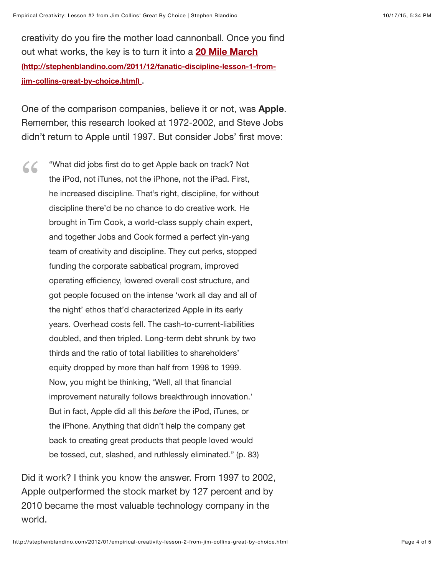creativity do you fire the mother load cannonball. Once you find out what works, the key is to turn it into a **20 Mile March [\(http://stephenblandino.com/2011/12/fanatic-discipline-lesson-1-from](http://stephenblandino.com/2011/12/fanatic-discipline-lesson-1-from-jim-collins-great-by-choice.html)jim-collins-great-by-choice.html)** .

One of the comparison companies, believe it or not, was **Apple**. Remember, this research looked at 1972-2002, and Steve Jobs didn't return to Apple until 1997. But consider Jobs' first move:

"What did jobs first do to get Apple back on track? Not the iPod, not iTunes, not the iPhone, not the iPad. First, he increased discipline. That's right, discipline, for without discipline there'd be no chance to do creative work. He brought in Tim Cook, a world-class supply chain expert, and together Jobs and Cook formed a perfect yin-yang team of creativity and discipline. They cut perks, stopped funding the corporate sabbatical program, improved operating efficiency, lowered overall cost structure, and got people focused on the intense 'work all day and all of the night' ethos that'd characterized Apple in its early years. Overhead costs fell. The cash-to-current-liabilities doubled, and then tripled. Long-term debt shrunk by two thirds and the ratio of total liabilities to shareholders' equity dropped by more than half from 1998 to 1999. Now, you might be thinking, 'Well, all that financial improvement naturally follows breakthrough innovation.' But in fact, Apple did all this *before* the iPod, iTunes, or the iPhone. Anything that didn't help the company get back to creating great products that people loved would be tossed, cut, slashed, and ruthlessly eliminated." (p. 83) "

Did it work? I think you know the answer. From 1997 to 2002, Apple outperformed the stock market by 127 percent and by 2010 became the most valuable technology company in the world.